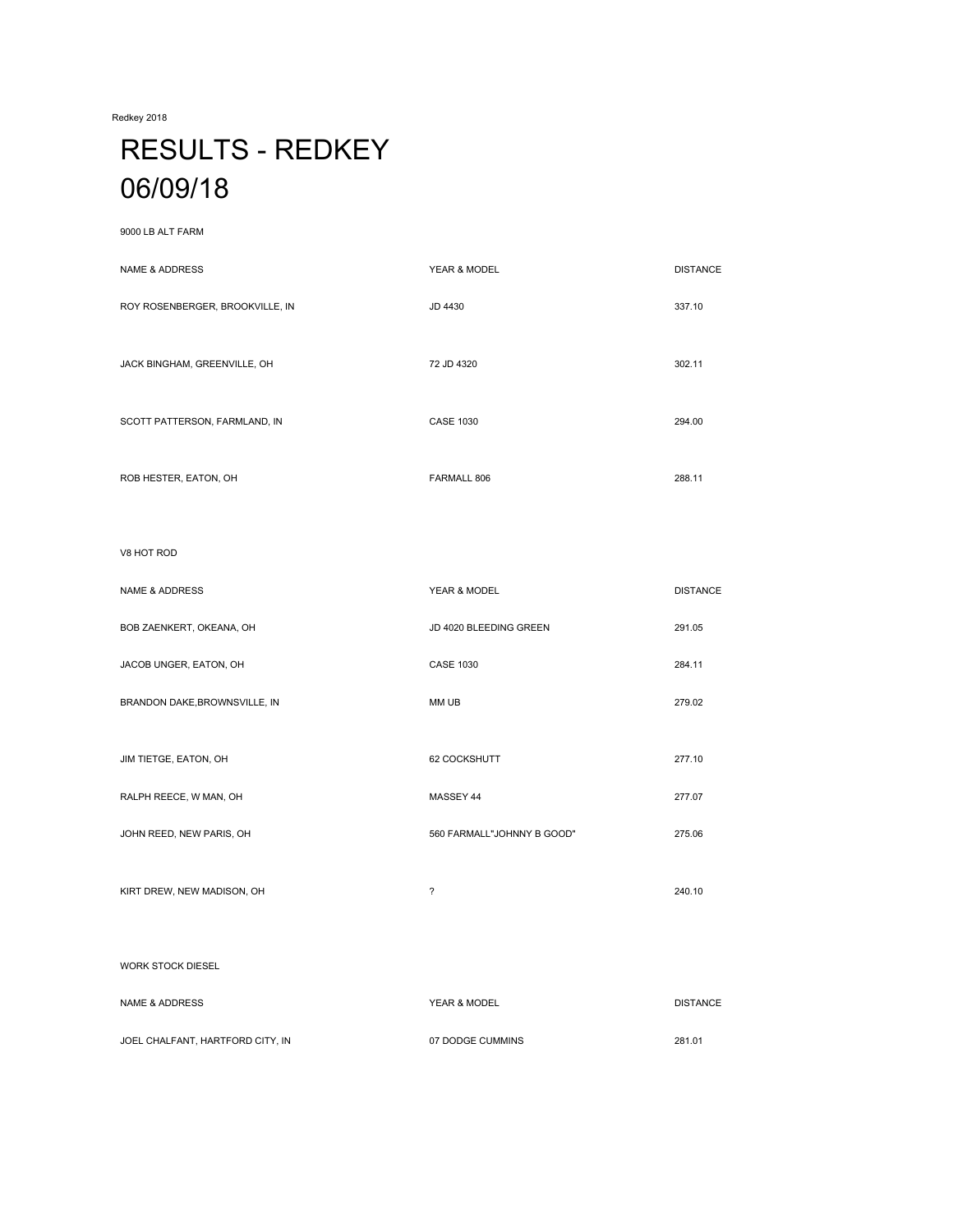Redkey 2018

# RESULTS - REDKEY 06/09/18

9000 LB ALT FARM

| <b>NAME &amp; ADDRESS</b>       | YEAR & MODEL               | <b>DISTANCE</b> |
|---------------------------------|----------------------------|-----------------|
| ROY ROSENBERGER, BROOKVILLE, IN | JD 4430                    | 337.10          |
| JACK BINGHAM, GREENVILLE, OH    | 72 JD 4320                 | 302.11          |
| SCOTT PATTERSON, FARMLAND, IN   | <b>CASE 1030</b>           | 294.00          |
| ROB HESTER, EATON, OH           | FARMALL 806                | 288.11          |
| V8 HOT ROD                      |                            |                 |
| <b>NAME &amp; ADDRESS</b>       | YEAR & MODEL               | <b>DISTANCE</b> |
| BOB ZAENKERT, OKEANA, OH        | JD 4020 BLEEDING GREEN     | 291.05          |
| JACOB UNGER, EATON, OH          | <b>CASE 1030</b>           | 284.11          |
| BRANDON DAKE, BROWNSVILLE, IN   | MM UB                      | 279.02          |
| JIM TIETGE, EATON, OH           | 62 COCKSHUTT               | 277.10          |
| RALPH REECE, W MAN, OH          | MASSEY 44                  | 277.07          |
| JOHN REED, NEW PARIS, OH        | 560 FARMALL"JOHNNY B GOOD" | 275.06          |
| KIRT DREW, NEW MADISON, OH      | $\overline{\phantom{0}}$   | 240.10          |
| <b>WORK STOCK DIESEL</b>        |                            |                 |
| <b>NAME &amp; ADDRESS</b>       | YEAR & MODEL               | <b>DISTANCE</b> |

JOEL CHALFANT, HARTFORD CITY, IN 07 DODGE CUMMINS 281.01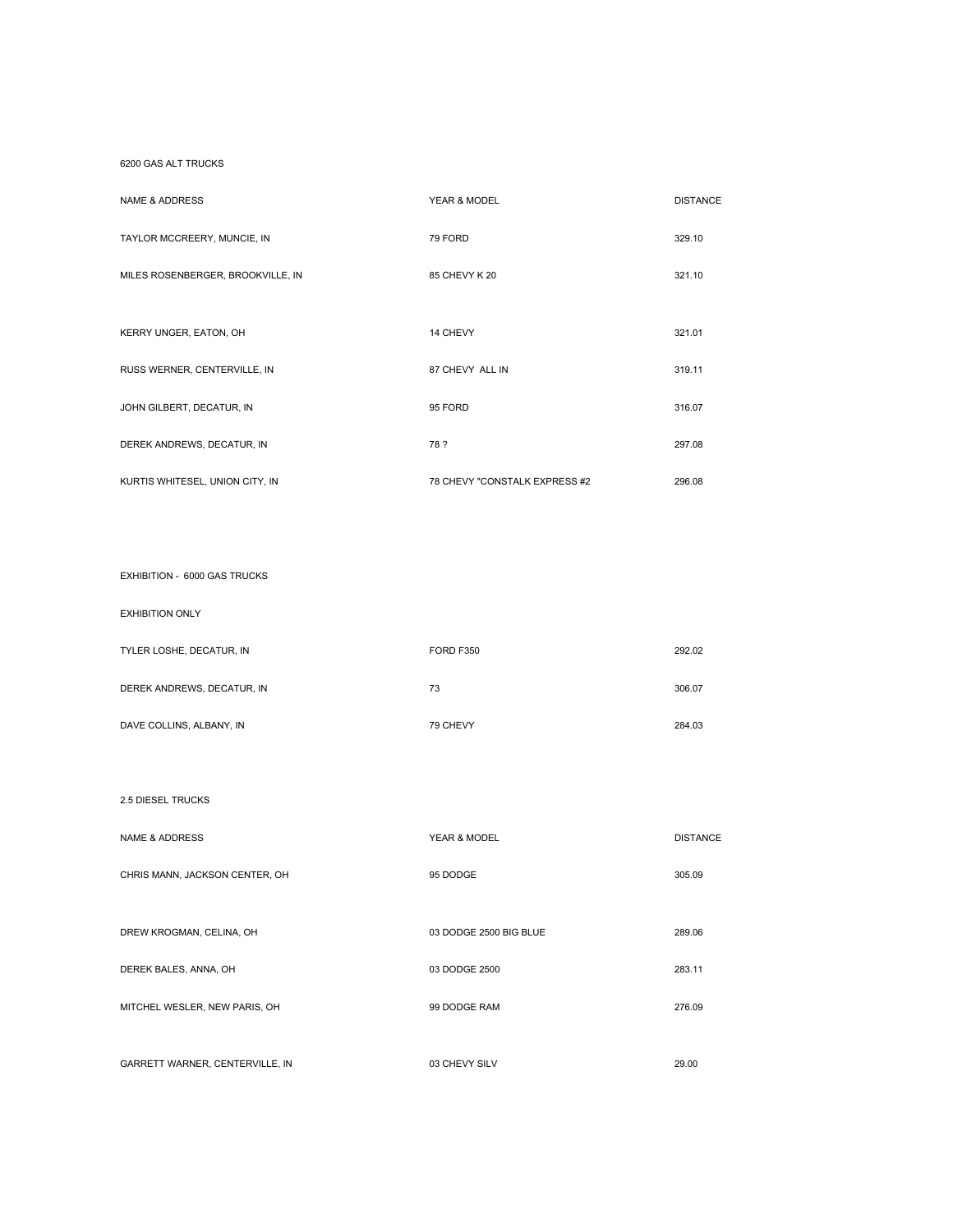## 6200 GAS ALT TRUCKS

| NAME & ADDRESS                    | YEAR & MODEL                  | <b>DISTANCE</b> |
|-----------------------------------|-------------------------------|-----------------|
| TAYLOR MCCREERY, MUNCIE, IN       | 79 FORD                       | 329.10          |
| MILES ROSENBERGER, BROOKVILLE, IN | 85 CHEVY K 20                 | 321.10          |
|                                   |                               |                 |
| KERRY UNGER, EATON, OH            | 14 CHEVY                      | 321.01          |
| RUSS WERNER, CENTERVILLE, IN      | 87 CHEVY ALL IN               | 319.11          |
| JOHN GILBERT, DECATUR, IN         | 95 FORD                       | 316.07          |
| DEREK ANDREWS, DECATUR, IN        | 78 ?                          | 297.08          |
| KURTIS WHITESEL, UNION CITY, IN   | 78 CHEVY "CONSTALK EXPRESS #2 | 296.08          |

EXHIBITION - 6000 GAS TRUCKS

### EXHIBITION ONLY

| TYLER LOSHE, DECATUR, IN   | FORD F350 | 292.02 |
|----------------------------|-----------|--------|
| DEREK ANDREWS, DECATUR, IN | 73        | 306.07 |
| DAVE COLLINS, ALBANY, IN   | 79 CHEVY  | 284.03 |

### 2.5 DIESEL TRUCKS

| NAME & ADDRESS                  | YEAR & MODEL           | <b>DISTANCE</b> |
|---------------------------------|------------------------|-----------------|
| CHRIS MANN, JACKSON CENTER, OH  | 95 DODGE               | 305.09          |
|                                 |                        |                 |
| DREW KROGMAN, CELINA, OH        | 03 DODGE 2500 BIG BLUE | 289.06          |
| DEREK BALES, ANNA, OH           | 03 DODGE 2500          | 283.11          |
| MITCHEL WESLER, NEW PARIS, OH   | 99 DODGE RAM           | 276.09          |
|                                 |                        |                 |
| GARRETT WARNER, CENTERVILLE, IN | 03 CHEVY SILV          | 29.00           |